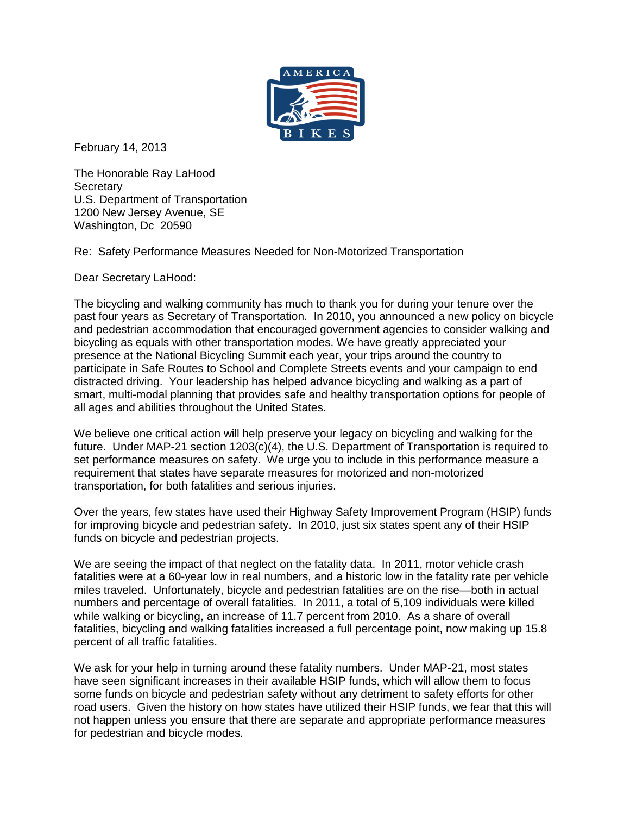

February 14, 2013

The Honorable Ray LaHood **Secretary** U.S. Department of Transportation 1200 New Jersey Avenue, SE Washington, Dc 20590

Re: Safety Performance Measures Needed for Non-Motorized Transportation

Dear Secretary LaHood:

The bicycling and walking community has much to thank you for during your tenure over the past four years as Secretary of Transportation. In 2010, you announced a new policy on bicycle and pedestrian accommodation that encouraged government agencies to consider walking and bicycling as equals with other transportation modes. We have greatly appreciated your presence at the National Bicycling Summit each year, your trips around the country to participate in Safe Routes to School and Complete Streets events and your campaign to end distracted driving. Your leadership has helped advance bicycling and walking as a part of smart, multi-modal planning that provides safe and healthy transportation options for people of all ages and abilities throughout the United States.

We believe one critical action will help preserve your legacy on bicycling and walking for the future. Under MAP-21 section 1203(c)(4), the U.S. Department of Transportation is required to set performance measures on safety. We urge you to include in this performance measure a requirement that states have separate measures for motorized and non-motorized transportation, for both fatalities and serious injuries.

Over the years, few states have used their Highway Safety Improvement Program (HSIP) funds for improving bicycle and pedestrian safety. In 2010, just six states spent any of their HSIP funds on bicycle and pedestrian projects.

We are seeing the impact of that neglect on the fatality data. In 2011, motor vehicle crash fatalities were at a 60-year low in real numbers, and a historic low in the fatality rate per vehicle miles traveled. Unfortunately, bicycle and pedestrian fatalities are on the rise—both in actual numbers and percentage of overall fatalities. In 2011, a total of 5,109 individuals were killed while walking or bicycling, an increase of 11.7 percent from 2010. As a share of overall fatalities, bicycling and walking fatalities increased a full percentage point, now making up 15.8 percent of all traffic fatalities.

We ask for your help in turning around these fatality numbers. Under MAP-21, most states have seen significant increases in their available HSIP funds, which will allow them to focus some funds on bicycle and pedestrian safety without any detriment to safety efforts for other road users. Given the history on how states have utilized their HSIP funds, we fear that this will not happen unless you ensure that there are separate and appropriate performance measures for pedestrian and bicycle modes.